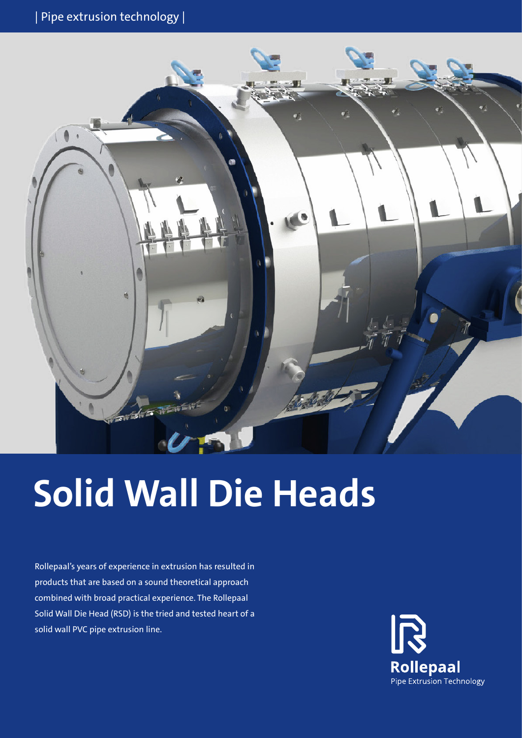

# **Solid Wall Die Heads**

Rollepaal's years of experience in extrusion has resulted in products that are based on a sound theoretical approach combined with broad practical experience. The Rollepaal Solid Wall Die Head (RSD) is the tried and tested heart of a solid wall PVC pipe extrusion line.